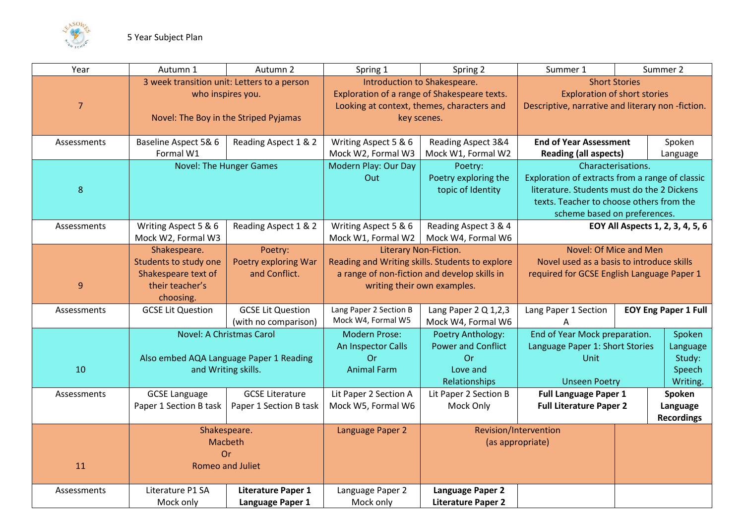

| Year           | Autumn 1                                                                                                  | Autumn 2                                         | Spring 1                                                                                                                                  | Spring 2                                                                                                                                                | Summer 1                                                                                                                                                                                        |  | Summer 2                                           |
|----------------|-----------------------------------------------------------------------------------------------------------|--------------------------------------------------|-------------------------------------------------------------------------------------------------------------------------------------------|---------------------------------------------------------------------------------------------------------------------------------------------------------|-------------------------------------------------------------------------------------------------------------------------------------------------------------------------------------------------|--|----------------------------------------------------|
| $\overline{7}$ | 3 week transition unit: Letters to a person<br>who inspires you.<br>Novel: The Boy in the Striped Pyjamas |                                                  | Introduction to Shakespeare.<br>Exploration of a range of Shakespeare texts.<br>Looking at context, themes, characters and<br>key scenes. |                                                                                                                                                         | <b>Short Stories</b><br><b>Exploration of short stories</b><br>Descriptive, narrative and literary non-fiction.                                                                                 |  |                                                    |
| Assessments    | Baseline Aspect 5& 6<br>Formal W1                                                                         | Reading Aspect 1 & 2                             | Writing Aspect 5 & 6<br>Mock W2, Formal W3                                                                                                | Reading Aspect 3&4<br>Mock W1, Formal W2                                                                                                                | <b>End of Year Assessment</b><br><b>Reading (all aspects)</b>                                                                                                                                   |  | Spoken<br>Language                                 |
| $8\phantom{1}$ | <b>Novel: The Hunger Games</b>                                                                            |                                                  | Modern Play: Our Day<br>Out                                                                                                               | Poetry:<br>Poetry exploring the<br>topic of Identity                                                                                                    | Characterisations.<br>Exploration of extracts from a range of classic<br>literature. Students must do the 2 Dickens<br>texts. Teacher to choose others from the<br>scheme based on preferences. |  |                                                    |
| Assessments    | Writing Aspect 5 & 6<br>Mock W2, Formal W3                                                                | Reading Aspect 1 & 2                             | Writing Aspect 5 & 6<br>Mock W1, Formal W2                                                                                                | Reading Aspect 3 & 4<br>Mock W4, Formal W6                                                                                                              | EOY All Aspects 1, 2, 3, 4, 5, 6                                                                                                                                                                |  |                                                    |
| 9              | Shakespeare.<br>Students to study one<br>Shakespeare text of<br>their teacher's<br>choosing.              | Poetry:<br>Poetry exploring War<br>and Conflict. |                                                                                                                                           | Literary Non-Fiction.<br>Reading and Writing skills. Students to explore<br>a range of non-fiction and develop skills in<br>writing their own examples. | Novel: Of Mice and Men<br>Novel used as a basis to introduce skills<br>required for GCSE English Language Paper 1                                                                               |  |                                                    |
| Assessments    | <b>GCSE Lit Question</b>                                                                                  | <b>GCSE Lit Question</b><br>(with no comparison) | Lang Paper 2 Section B<br>Mock W4, Formal W5                                                                                              | Lang Paper 2 Q 1,2,3<br>Mock W4, Formal W6                                                                                                              | Lang Paper 1 Section<br><b>EOY Eng Paper 1 Full</b>                                                                                                                                             |  |                                                    |
| 10             | <b>Novel: A Christmas Carol</b><br>Also embed AQA Language Paper 1 Reading<br>and Writing skills.         |                                                  | <b>Modern Prose:</b><br>An Inspector Calls<br>Or<br><b>Animal Farm</b>                                                                    | Poetry Anthology:<br><b>Power and Conflict</b><br>Or<br>Love and<br>Relationships                                                                       | End of Year Mock preparation.<br>Language Paper 1: Short Stories<br>Unit<br><b>Unseen Poetry</b>                                                                                                |  | Spoken<br>Language<br>Study:<br>Speech<br>Writing. |
| Assessments    | <b>GCSE Language</b><br>Paper 1 Section B task                                                            | <b>GCSE Literature</b><br>Paper 1 Section B task | Lit Paper 2 Section A<br>Mock W5, Formal W6                                                                                               | Lit Paper 2 Section B<br>Mock Only                                                                                                                      | <b>Full Language Paper 1</b><br><b>Full Literature Paper 2</b>                                                                                                                                  |  | Spoken<br>Language<br><b>Recordings</b>            |
| 11             | Shakespeare.<br>Macbeth<br>Or<br>Romeo and Juliet                                                         |                                                  | Language Paper 2                                                                                                                          |                                                                                                                                                         | Revision/Intervention<br>(as appropriate)                                                                                                                                                       |  |                                                    |
| Assessments    | Literature P1 SA<br>Mock only                                                                             | <b>Literature Paper 1</b><br>Language Paper 1    | Language Paper 2<br>Mock only                                                                                                             | Language Paper 2<br><b>Literature Paper 2</b>                                                                                                           |                                                                                                                                                                                                 |  |                                                    |